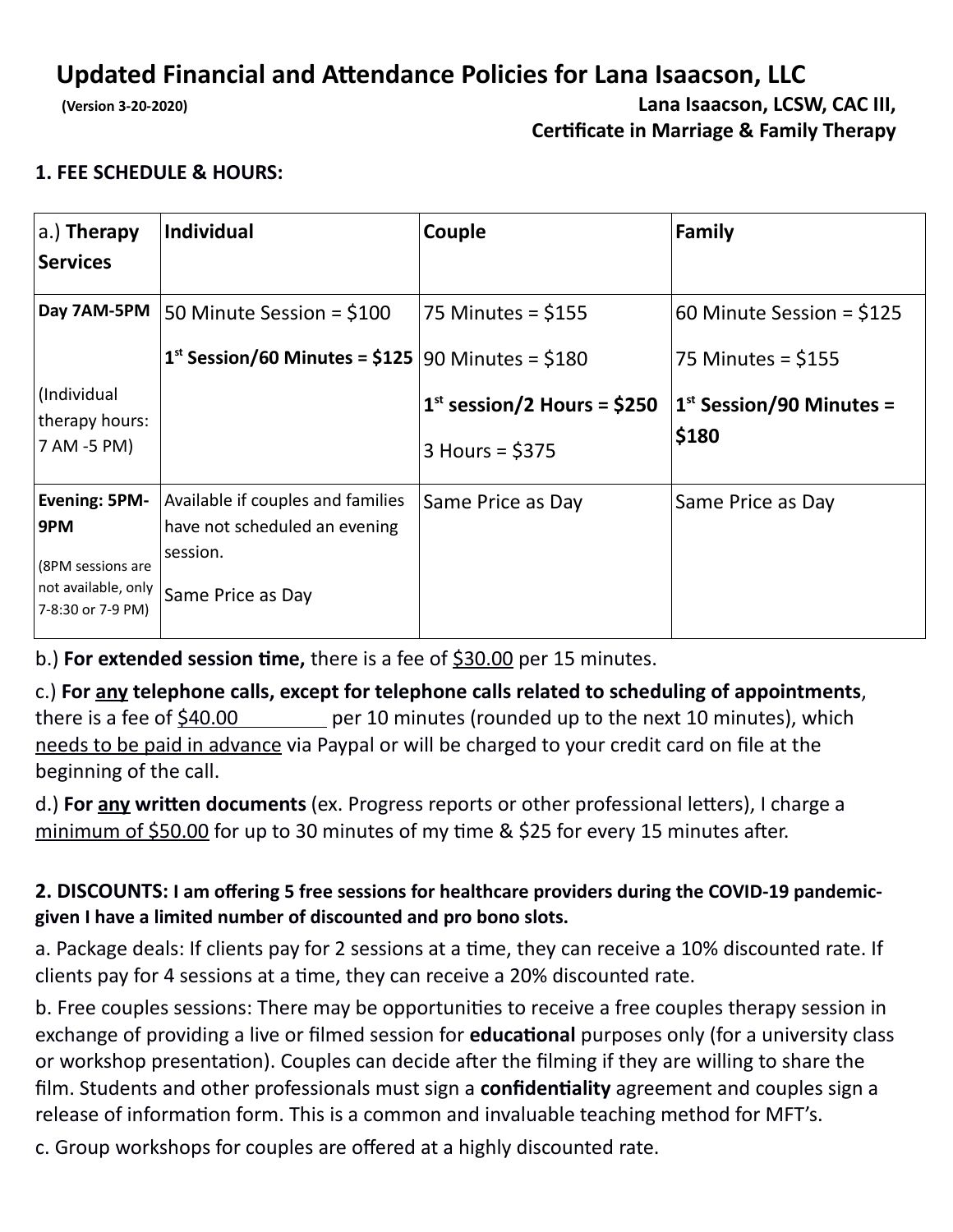# **Updated Financial and Attendance Policies for Lana Isaacson, LLC**

## **(Version 3-20-2020) Lana Isaacson, LCSW, CAC III, Certificate in Marriage & Family Therapy**

## **1. FEE SCHEDULE & HOURS:**

| a.) Therapy<br><b>Services</b>                                   | <b>Individual</b>                                                              | Couple                        | Family                     |
|------------------------------------------------------------------|--------------------------------------------------------------------------------|-------------------------------|----------------------------|
| Day 7AM-5PM                                                      | $50$ Minute Session = \$100                                                    | 75 Minutes = $$155$           | 60 Minute Session = $$125$ |
|                                                                  | $1st$ Session/60 Minutes = \$125  90 Minutes = \$180                           |                               | 75 Minutes = $$155$        |
| (Individual<br>therapy hours:                                    |                                                                                | $1st$ session/2 Hours = \$250 | $1st$ Session/90 Minutes = |
| 7 AM -5 PM)                                                      |                                                                                | $3$ Hours = \$375             | \$180                      |
| Evening: 5PM-<br>9PM<br>(8PM sessions are<br>not available, only | Available if couples and families<br>have not scheduled an evening<br>session. | Same Price as Day             | Same Price as Day          |
| 7-8:30 or 7-9 PM)                                                | Same Price as Day                                                              |                               |                            |

b.) **For extended session time,** there is a fee of \$30.00 per 15 minutes.

c.) **For any telephone calls, except for telephone calls related to scheduling of appointments**, there is a fee of  $$40.00$  per 10 minutes (rounded up to the next 10 minutes), which needs to be paid in advance via Paypal or will be charged to your credit card on file at the beginning of the call.

d.) **For any written documents** (ex. Progress reports or other professional letters), I charge a minimum of \$50.00 for up to 30 minutes of my time & \$25 for every 15 minutes after.

#### **2. DISCOUNTS: I am offering 5 free sessions for healthcare providers during the COVID-19 pandemicgiven I have a limited number of discounted and pro bono slots.**

a. Package deals: If clients pay for 2 sessions at a time, they can receive a 10% discounted rate. If clients pay for 4 sessions at a time, they can receive a 20% discounted rate.

b. Free couples sessions: There may be opportunities to receive a free couples therapy session in exchange of providing a live or filmed session for **educational** purposes only (for a university class or workshop presentation). Couples can decide after the filming if they are willing to share the film. Students and other professionals must sign a **confidentiality** agreement and couples sign a release of information form. This is a common and invaluable teaching method for MFT's.

c. Group workshops for couples are offered at a highly discounted rate.